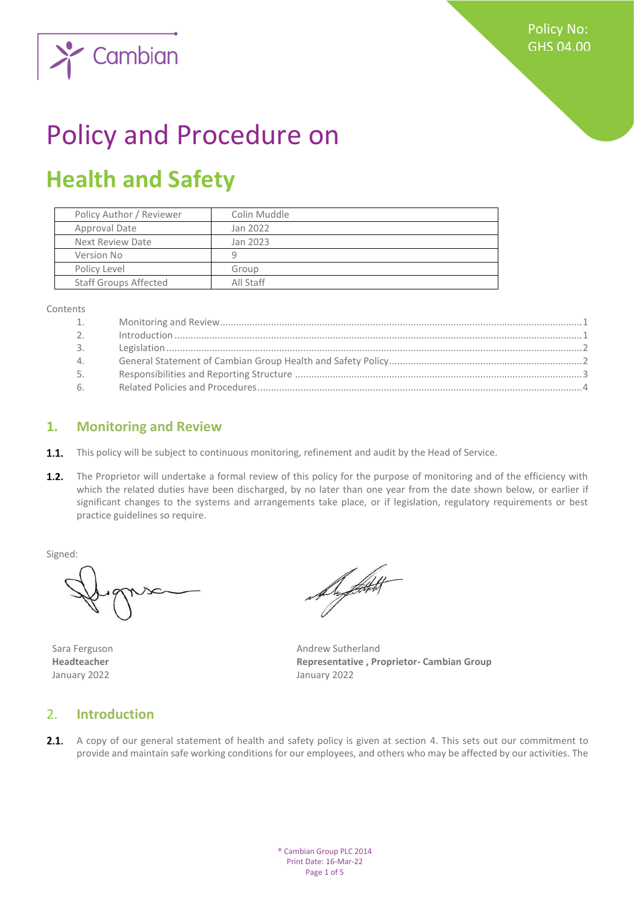

# Policy and Procedure on

## **Health and Safety**

| Policy Author / Reviewer     | Colin Muddle |
|------------------------------|--------------|
| Approval Date                | Jan 2022     |
| Next Review Date             | Jan 2023     |
| Version No                   | q            |
| Policy Level                 | Group        |
| <b>Staff Groups Affected</b> | All Staff    |

Contents

| 1.               |                                                                                                                                                                                                                                                                                                                                                                                                                                               |  |
|------------------|-----------------------------------------------------------------------------------------------------------------------------------------------------------------------------------------------------------------------------------------------------------------------------------------------------------------------------------------------------------------------------------------------------------------------------------------------|--|
| 2.               | $\label{eq:1} \mbox{Introduction}\dots\hspace{1.5mm}\dots\hspace{1.5mm}\dots\hspace{1.5mm}\dots\hspace{1.5mm}\dots\hspace{1.5mm}\dots\hspace{1.5mm}\dots\hspace{1.5mm}\dots\hspace{1.5mm}\dots\hspace{1.5mm}\dots\hspace{1.5mm}\dots\hspace{1.5mm}\dots\hspace{1.5mm}\dots\hspace{1.5mm}\dots\hspace{1.5mm}\dots\hspace{1.5mm}\dots\hspace{1.5mm}\dots\hspace{1.5mm}\dots\hspace{1.5mm}\dots\hspace{1.5mm}\dots\hspace{1.5mm}\dots\hspace{1.$ |  |
| $\overline{3}$ . |                                                                                                                                                                                                                                                                                                                                                                                                                                               |  |
| 4.               |                                                                                                                                                                                                                                                                                                                                                                                                                                               |  |
| 5.               |                                                                                                                                                                                                                                                                                                                                                                                                                                               |  |
| 6                |                                                                                                                                                                                                                                                                                                                                                                                                                                               |  |

#### <span id="page-0-0"></span>**1. Monitoring and Review**

- **1.1.** This policy will be subject to continuous monitoring, refinement and audit by the Head of Service.
- $1.2.$ The Proprietor will undertake a formal review of this policy for the purpose of monitoring and of the efficiency with which the related duties have been discharged, by no later than one year from the date shown below, or earlier if significant changes to the systems and arrangements take place, or if legislation, regulatory requirements or best practice guidelines so require.

Signed:

January 2022 January 2022

August 1

Sara Ferguson **Andrew Sutherland Headteacher Representative , Proprietor- Cambian Group**

#### <span id="page-0-1"></span>2. **Introduction**

2.1. A copy of our general statement of health and safety policy is given at section 4. This sets out our commitment to provide and maintain safe working conditions for our employees, and others who may be affected by our activities. The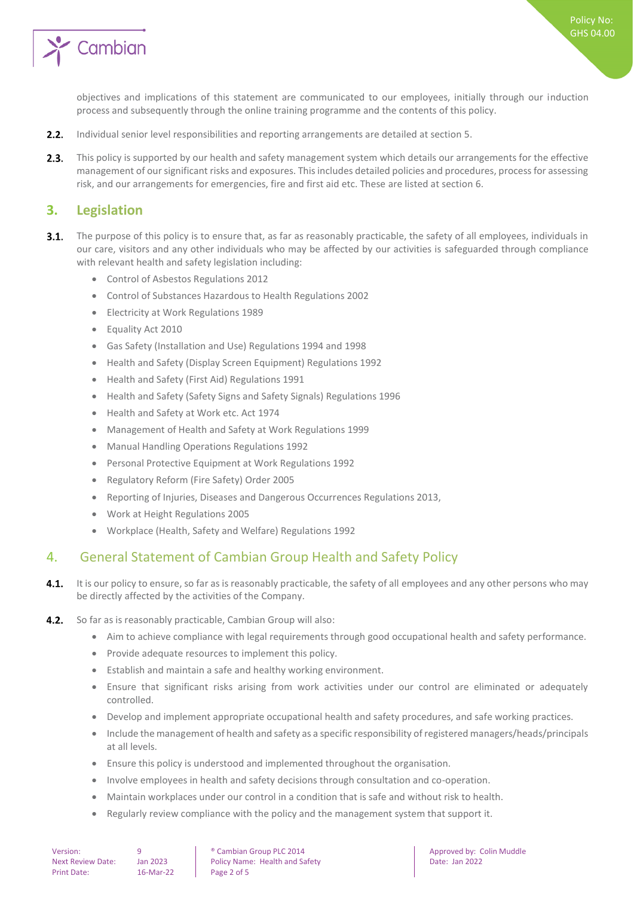

Policy No: GHS 04.00

objectives and implications of this statement are communicated to our employees, initially through our induction process and subsequently through the online training programme and the contents of this policy.

- $2.2.$ Individual senior level responsibilities and reporting arrangements are detailed at section 5.
- $2.3.$ This policy is supported by our health and safety management system which details our arrangements for the effective management of our significant risks and exposures. This includes detailed policies and procedures, process for assessing risk, and our arrangements for emergencies, fire and first aid etc. These are listed at section 6.

#### <span id="page-1-0"></span>**3. Legislation**

- $3.1.$ The purpose of this policy is to ensure that, as far as reasonably practicable, the safety of all employees, individuals in our care, visitors and any other individuals who may be affected by our activities is safeguarded through compliance with relevant health and safety legislation including:
	- Control of Asbestos Regulations 2012
	- Control of Substances Hazardous to Health Regulations 2002
	- Electricity at Work Regulations 1989
	- Equality Act 2010
	- Gas Safety (Installation and Use) Regulations 1994 and 1998
	- Health and Safety (Display Screen Equipment) Regulations 1992
	- Health and Safety (First Aid) Regulations 1991
	- Health and Safety (Safety Signs and Safety Signals) Regulations 1996
	- Health and Safety at Work etc. Act 1974
	- Management of Health and Safety at Work Regulations 1999
	- Manual Handling Operations Regulations 1992
	- Personal Protective Equipment at Work Regulations 1992
	- Regulatory Reform (Fire Safety) Order 2005
	- Reporting of Injuries, Diseases and Dangerous Occurrences Regulations 2013,
	- Work at Height Regulations 2005
	- Workplace (Health, Safety and Welfare) Regulations 1992

#### <span id="page-1-1"></span>4. General Statement of Cambian Group Health and Safety Policy

- $4.1.$ It is our policy to ensure, so far as is reasonably practicable, the safety of all employees and any other persons who may be directly affected by the activities of the Company.
- $4.2.$ So far as is reasonably practicable, Cambian Group will also:
	- Aim to achieve compliance with legal requirements through good occupational health and safety performance.
	- Provide adequate resources to implement this policy.
	- Establish and maintain a safe and healthy working environment.
	- Ensure that significant risks arising from work activities under our control are eliminated or adequately controlled.
	- Develop and implement appropriate occupational health and safety procedures, and safe working practices.
	- Include the management of health and safety as a specific responsibility of registered managers/heads/principals at all levels.
	- Ensure this policy is understood and implemented throughout the organisation.
	- Involve employees in health and safety decisions through consultation and co-operation.
	- Maintain workplaces under our control in a condition that is safe and without risk to health.
	- Regularly review compliance with the policy and the management system that support it.

Version: 9 9 | ® Cambian Group PLC 2014 | Approved by: Colin Muddle<br>Next Review Date: Ian 2023 Policy Name: Health and Safety | Date: Ian 2022 Next Review Date: Jan 2023 | Policy Name: Health and Safety | Date: Jan 2022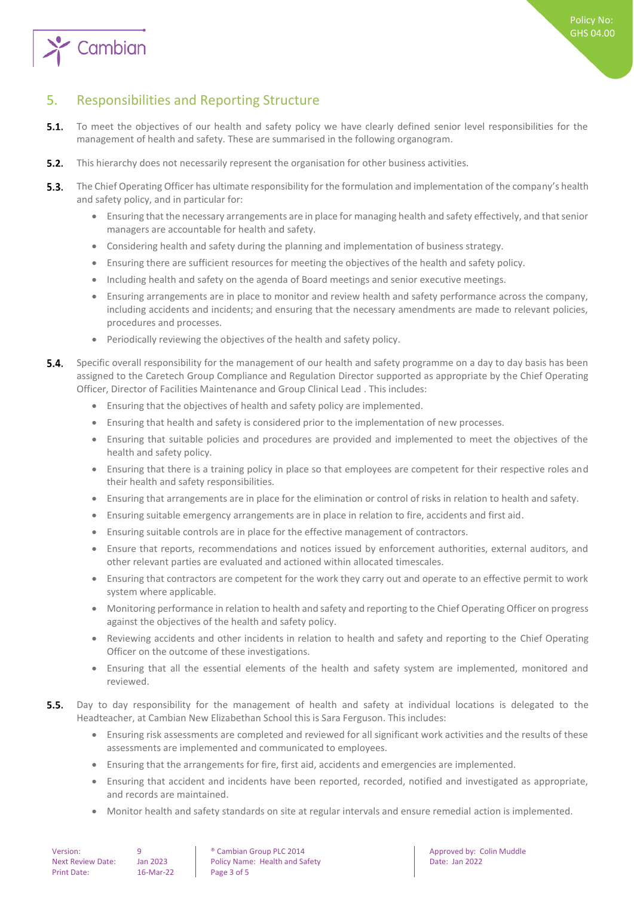

### <span id="page-2-0"></span>5. Responsibilities and Reporting Structure

- $5.1.$ To meet the objectives of our health and safety policy we have clearly defined senior level responsibilities for the management of health and safety. These are summarised in the following organogram.
- $5.2.$ This hierarchy does not necessarily represent the organisation for other business activities.
- $5.3.$ The Chief Operating Officer has ultimate responsibility for the formulation and implementation of the company's health and safety policy, and in particular for:
	- Ensuring that the necessary arrangements are in place for managing health and safety effectively, and that senior managers are accountable for health and safety.
	- Considering health and safety during the planning and implementation of business strategy.
	- Ensuring there are sufficient resources for meeting the objectives of the health and safety policy.
	- Including health and safety on the agenda of Board meetings and senior executive meetings.
	- Ensuring arrangements are in place to monitor and review health and safety performance across the company, including accidents and incidents; and ensuring that the necessary amendments are made to relevant policies, procedures and processes.
	- Periodically reviewing the objectives of the health and safety policy.
- 54 Specific overall responsibility for the management of our health and safety programme on a day to day basis has been assigned to the Caretech Group Compliance and Regulation Director supported as appropriate by the Chief Operating Officer, Director of Facilities Maintenance and Group Clinical Lead . This includes:
	- Ensuring that the objectives of health and safety policy are implemented.
	- Ensuring that health and safety is considered prior to the implementation of new processes.
	- Ensuring that suitable policies and procedures are provided and implemented to meet the objectives of the health and safety policy.
	- Ensuring that there is a training policy in place so that employees are competent for their respective roles and their health and safety responsibilities.
	- Ensuring that arrangements are in place for the elimination or control of risks in relation to health and safety.
	- Ensuring suitable emergency arrangements are in place in relation to fire, accidents and first aid.
	- Ensuring suitable controls are in place for the effective management of contractors.
	- Ensure that reports, recommendations and notices issued by enforcement authorities, external auditors, and other relevant parties are evaluated and actioned within allocated timescales.
	- Ensuring that contractors are competent for the work they carry out and operate to an effective permit to work system where applicable.
	- Monitoring performance in relation to health and safety and reporting to the Chief Operating Officer on progress against the objectives of the health and safety policy.
	- Reviewing accidents and other incidents in relation to health and safety and reporting to the Chief Operating Officer on the outcome of these investigations.
	- Ensuring that all the essential elements of the health and safety system are implemented, monitored and reviewed.
- $5.5.$ Day to day responsibility for the management of health and safety at individual locations is delegated to the Headteacher, at Cambian New Elizabethan School this is Sara Ferguson. This includes:
	- Ensuring risk assessments are completed and reviewed for all significant work activities and the results of these assessments are implemented and communicated to employees.
	- Ensuring that the arrangements for fire, first aid, accidents and emergencies are implemented.
	- Ensuring that accident and incidents have been reported, recorded, notified and investigated as appropriate, and records are maintained.
	- Monitor health and safety standards on site at regular intervals and ensure remedial action is implemented.

| Version:                 |  |
|--------------------------|--|
| <b>Next Review Date:</b> |  |
| <b>Print Date:</b>       |  |

16-Mar-22 Page 3 of 5

9 **8 Cambian Group PLC 2014 Approved by: Colin Muddle** Jan 2023 Policy Name: Health and Safety **Date: Jan 2022**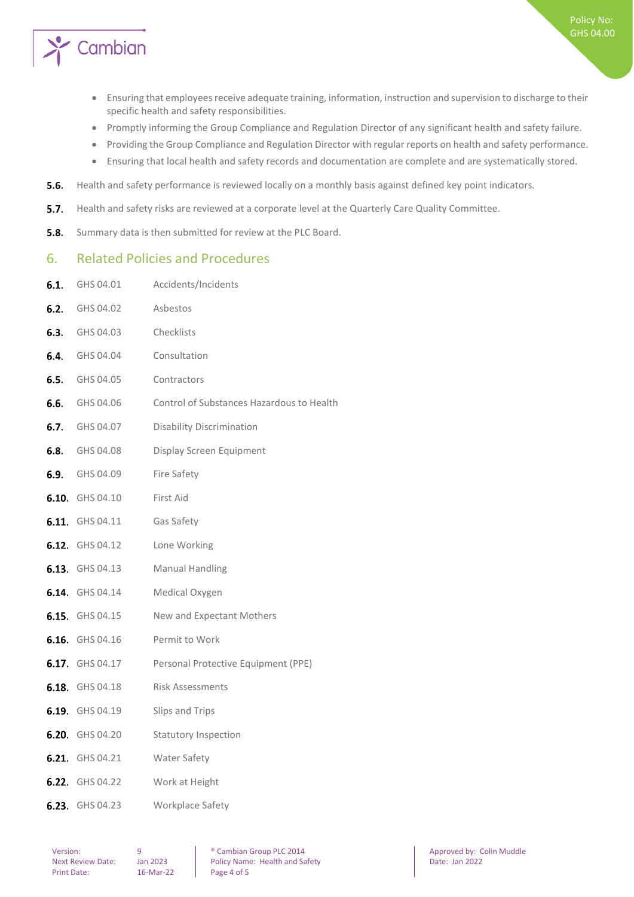

- Ensuring that employees receive adequate training, information, instruction and supervision to discharge to their specific health and safety responsibilities.
- Promptly informing the Group Compliance and Regulation Director of any significant health and safety failure.
- Providing the Group Compliance and Regulation Director with regular reports on health and safety performance.
- Ensuring that local health and safety records and documentation are complete and are systematically stored.
- $5.6.$ Health and safety performance is reviewed locally on a monthly basis against defined key point indicators.
- $5.7.$ Health and safety risks are reviewed at a corporate level at the Quarterly Care Quality Committee.
- <span id="page-3-0"></span> $5.8.$ Summary data is then submitted for review at the PLC Board.

#### 6. Related Policies and Procedures

6.1. GHS 04.01 Accidents/Incidents

| 6.2. | GHS 04.02              | Asbestos                                  |
|------|------------------------|-------------------------------------------|
|      | <b>6.3.</b> GHS 04.03  | Checklists                                |
|      | <b>6.4.</b> GHS 04.04  | Consultation                              |
|      | <b>6.5.</b> GHS 04.05  | Contractors                               |
|      | <b>6.6.</b> GHS 04.06  | Control of Substances Hazardous to Health |
|      | <b>6.7.</b> GHS 04.07  | <b>Disability Discrimination</b>          |
|      | <b>6.8.</b> GHS 04.08  | Display Screen Equipment                  |
|      | <b>6.9.</b> GHS 04.09  | Fire Safety                               |
|      | <b>6.10.</b> GHS 04.10 | First Aid                                 |
|      | <b>6.11.</b> GHS 04.11 | Gas Safety                                |
|      | 6.12. GHS 04.12        | Lone Working                              |
|      | 6.13. GHS 04.13        | <b>Manual Handling</b>                    |
|      | 6.14. GHS 04.14        | Medical Oxygen                            |
|      | <b>6.15.</b> GHS 04.15 | New and Expectant Mothers                 |
|      | <b>6.16.</b> GHS 04.16 | Permit to Work                            |
|      | 6.17. GHS 04.17        | Personal Protective Equipment (PPE)       |
|      | 6.18. GHS 04.18        | <b>Risk Assessments</b>                   |
|      | 6.19. GHS 04.19        | Slips and Trips                           |
|      | 6.20. GHS 04.20        | <b>Statutory Inspection</b>               |
|      | 6.21. GHS 04.21        | <b>Water Safety</b>                       |
|      | <b>6.22.</b> GHS 04.22 | Work at Height                            |
|      | 6.23. GHS 04.23        | Workplace Safety                          |